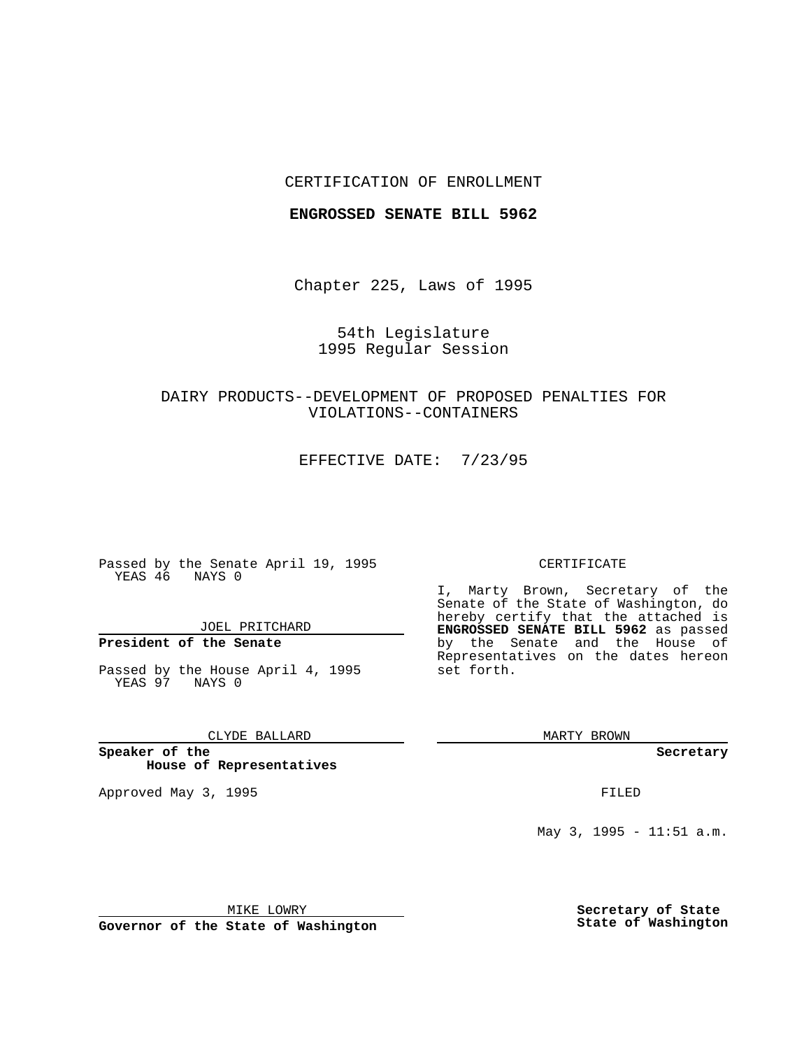## CERTIFICATION OF ENROLLMENT

#### **ENGROSSED SENATE BILL 5962**

Chapter 225, Laws of 1995

# 54th Legislature 1995 Regular Session

# DAIRY PRODUCTS--DEVELOPMENT OF PROPOSED PENALTIES FOR VIOLATIONS--CONTAINERS

EFFECTIVE DATE: 7/23/95

Passed by the Senate April 19, 1995 YEAS 46 NAYS 0

JOEL PRITCHARD

# **President of the Senate**

Passed by the House April 4, 1995 YEAS 97 NAYS 0

### CLYDE BALLARD

**Speaker of the House of Representatives**

Approved May 3, 1995 **FILED** 

#### CERTIFICATE

I, Marty Brown, Secretary of the Senate of the State of Washington, do hereby certify that the attached is **ENGROSSED SENATE BILL 5962** as passed by the Senate and the House of Representatives on the dates hereon set forth.

MARTY BROWN

**Secretary**

May 3, 1995 - 11:51 a.m.

MIKE LOWRY

**Governor of the State of Washington**

**Secretary of State State of Washington**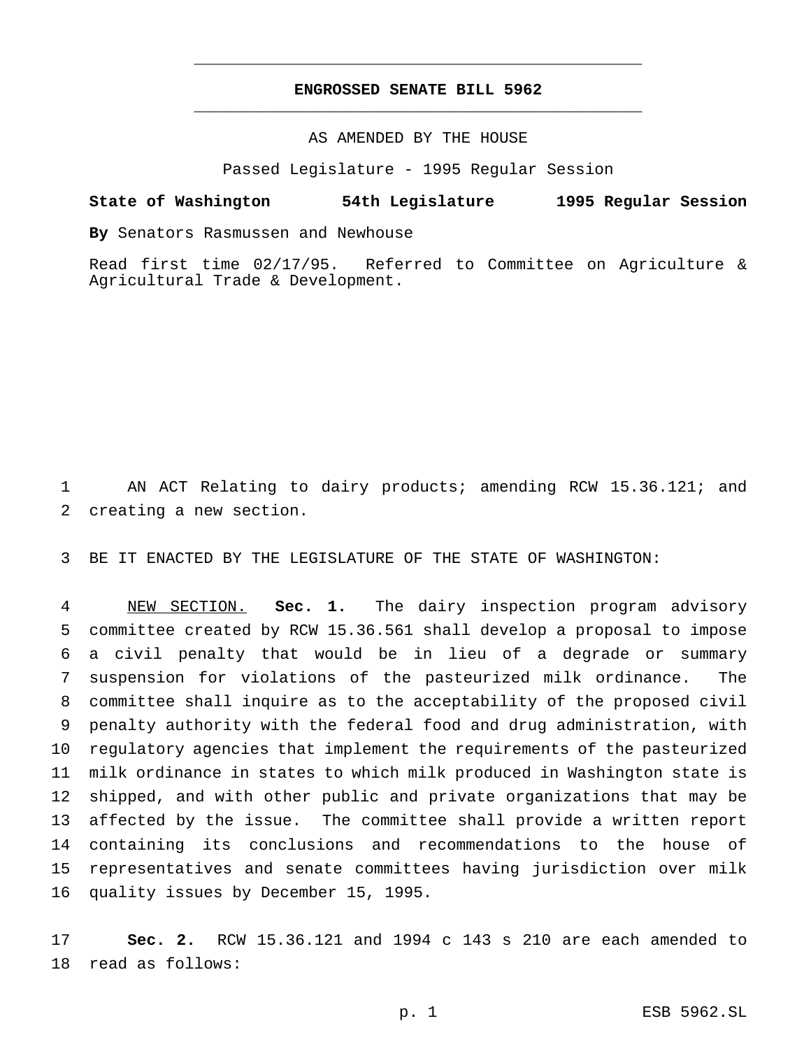# **ENGROSSED SENATE BILL 5962** \_\_\_\_\_\_\_\_\_\_\_\_\_\_\_\_\_\_\_\_\_\_\_\_\_\_\_\_\_\_\_\_\_\_\_\_\_\_\_\_\_\_\_\_\_\_\_

\_\_\_\_\_\_\_\_\_\_\_\_\_\_\_\_\_\_\_\_\_\_\_\_\_\_\_\_\_\_\_\_\_\_\_\_\_\_\_\_\_\_\_\_\_\_\_

## AS AMENDED BY THE HOUSE

Passed Legislature - 1995 Regular Session

#### **State of Washington 54th Legislature 1995 Regular Session**

**By** Senators Rasmussen and Newhouse

Read first time 02/17/95. Referred to Committee on Agriculture & Agricultural Trade & Development.

 AN ACT Relating to dairy products; amending RCW 15.36.121; and creating a new section.

BE IT ENACTED BY THE LEGISLATURE OF THE STATE OF WASHINGTON:

 NEW SECTION. **Sec. 1.** The dairy inspection program advisory committee created by RCW 15.36.561 shall develop a proposal to impose a civil penalty that would be in lieu of a degrade or summary suspension for violations of the pasteurized milk ordinance. The committee shall inquire as to the acceptability of the proposed civil penalty authority with the federal food and drug administration, with regulatory agencies that implement the requirements of the pasteurized milk ordinance in states to which milk produced in Washington state is shipped, and with other public and private organizations that may be affected by the issue. The committee shall provide a written report containing its conclusions and recommendations to the house of representatives and senate committees having jurisdiction over milk quality issues by December 15, 1995.

 **Sec. 2.** RCW 15.36.121 and 1994 c 143 s 210 are each amended to read as follows: